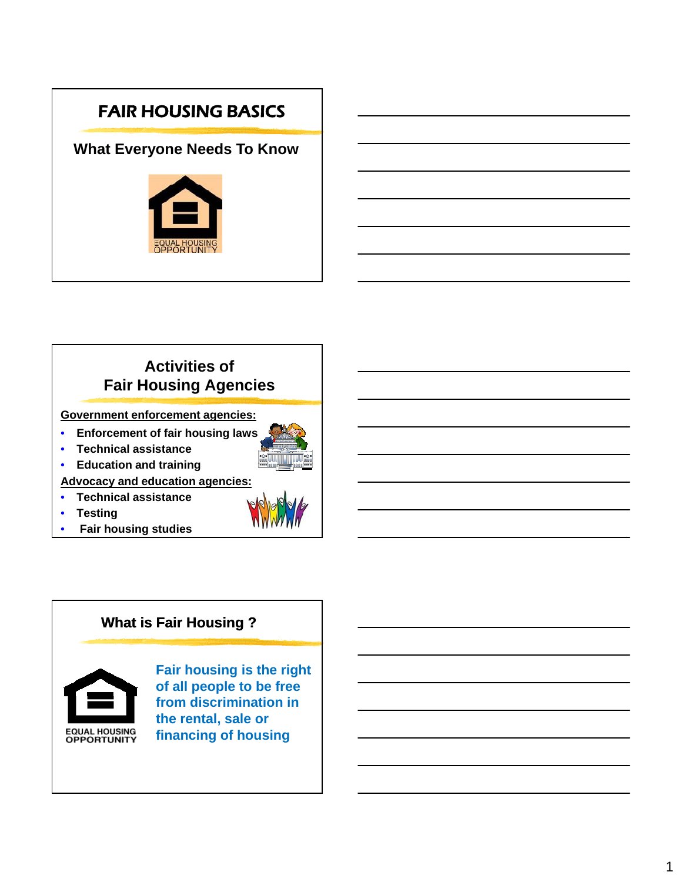# FAIR HOUSING BASICS

## **What Everyone Needs To Know**



## **Activities of Fair Housing Agencies**

**Government enforcement agencies:** 

- **Enforcement of fair housing laws**
- **Technical assistance**



• **Education and training**

**Advocacy and education agencies:**

- **Technical assistance**
- **Testing**
- **Fair housing studies**

#### **What is Fair Housing ?**



**Fair housing is the right of all people to be free from discrimination in the rental, sale or financing of housing**

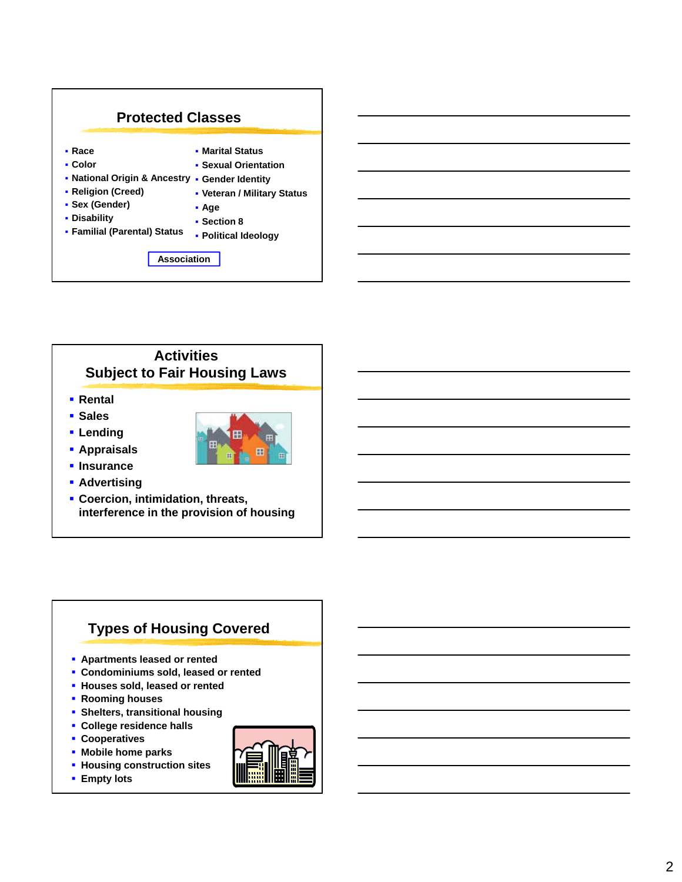

#### **Activities Subject to Fair Housing Laws**

- **Rental**
- **s** Sales
- **Lending**



 $\blacksquare$  Insurance **Advertising** 

**Appraisals**

 **Coercion, intimidation, threats, interference in the provision of housing**

## **Types of Housing Covered**

- **Apartments leased or rented**
- **Condominiums sold, leased or rented**
- **Houses sold, leased or rented**
- **Rooming houses**
- **Shelters, transitional housing**
- **College residence halls**
- **Cooperatives**
- **Mobile home parks**
- **Housing construction sites**
- **Empty lots**

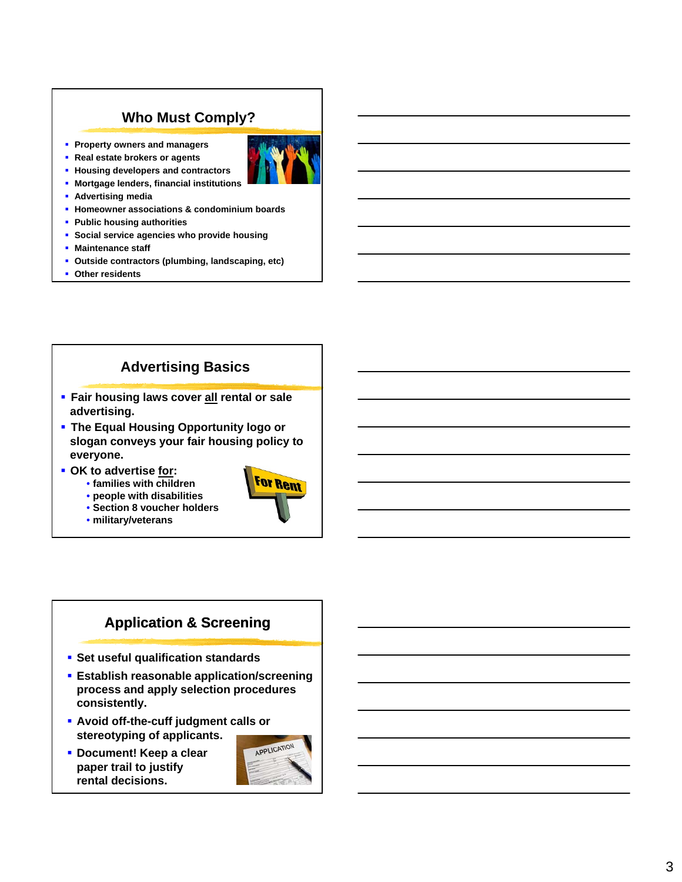## **Who Must Comply?**

 **Property owners and managers Real estate brokers or agents** 

**Housing developers and contractors** 



- **E** Mortgage lenders, financial institutions
- **Advertising media**
- **Homeowner associations & condominium boards**
- **Public housing authorities**
- **Social service agencies who provide housing**
- **Maintenance staff**
- **Outside contractors (plumbing, landscaping, etc)**
- **Other residents**

#### **Advertising Basics**

- **Fair housing laws cover all rental or sale advertising.**
- **The Equal Housing Opportunity logo or slogan conveys your fair housing policy to conveys your fair housing policy everyone.**
- **0K** to advertise for:
	- **families with children**
	- **people with disabilities**
	- **Section 8 voucher holders**
	- **military/veterans**



## **Application & Screening**

- **Set useful qualification standards**
- **Establish reasonable application/screening process and apply selection procedures consistently.**
- **Avoid off-the-cuff judgment calls or stereotyping of applicants.**
- **Document! Keep a clear paper trail to justify rental decisions.**

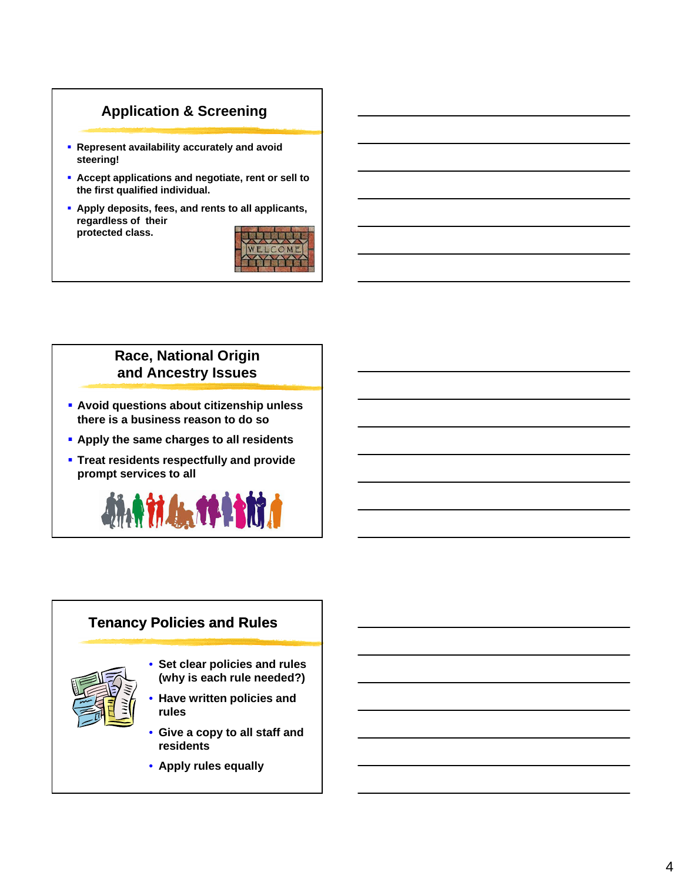#### **Application & Screening**

- **Represent availability accurately and avoid steering!**
- **Accept applications and negotiate, rent or sell to the first qualified individual.**
- **Apply deposits, fees, and rents to all applicants, regardless of their protected class.**



#### **Race, National Origin and Ancestry Issues**

- **Avoid questions about citizenship unless there is a business reason to do so**
- **k** Apply the same charges to all residents
- **Treat residents respectfully and provide prompt services to all**



# **Tenancy Policies and Rules** • **Set clear policies and rules (why is each rule needed?)** • **Have written policies Have written and rules** • **Give a copy to all staff and residents** • **Apply rules equally**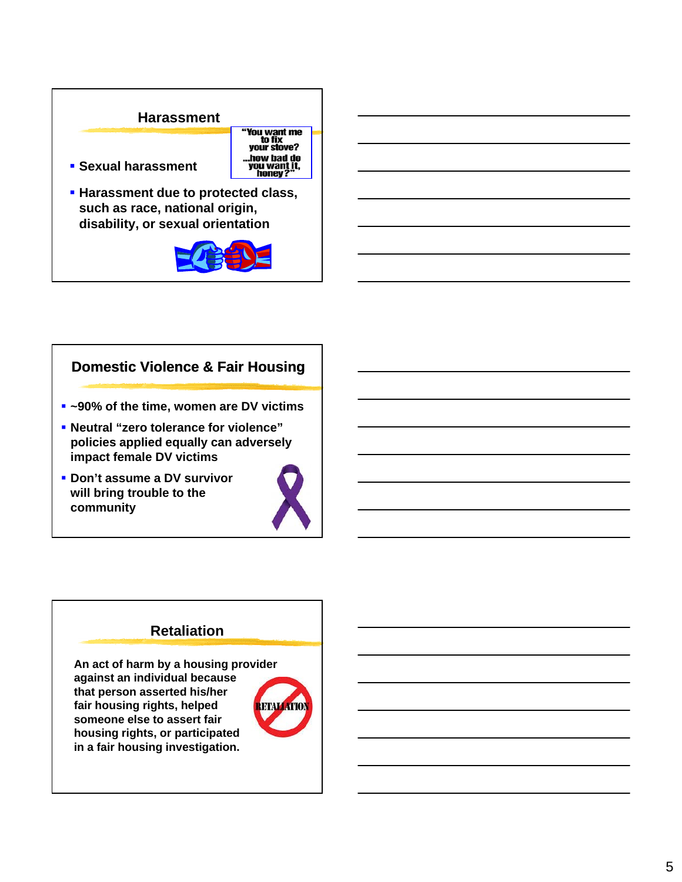#### **Harassment**



- **Sexual harassment**
- **Harassment due to protected class, such as race, national origin, disability, or sexual orientation**



## **Domestic Violence & Fair Housing**

- **~90% of the time, women are DV victims**
- **Neutral "zero tolerance for violence" policies applied equally policies applied can adversely impact female DV victims**
- **Don't assume a DV survivor will bring trouble to the community**



#### **Retaliation**

**An act of harm by a housing provider against an individual because that person asserted his/her fair housing rights, helped someone else to assert fair housing rights, or participated in a fair housing investigation.**

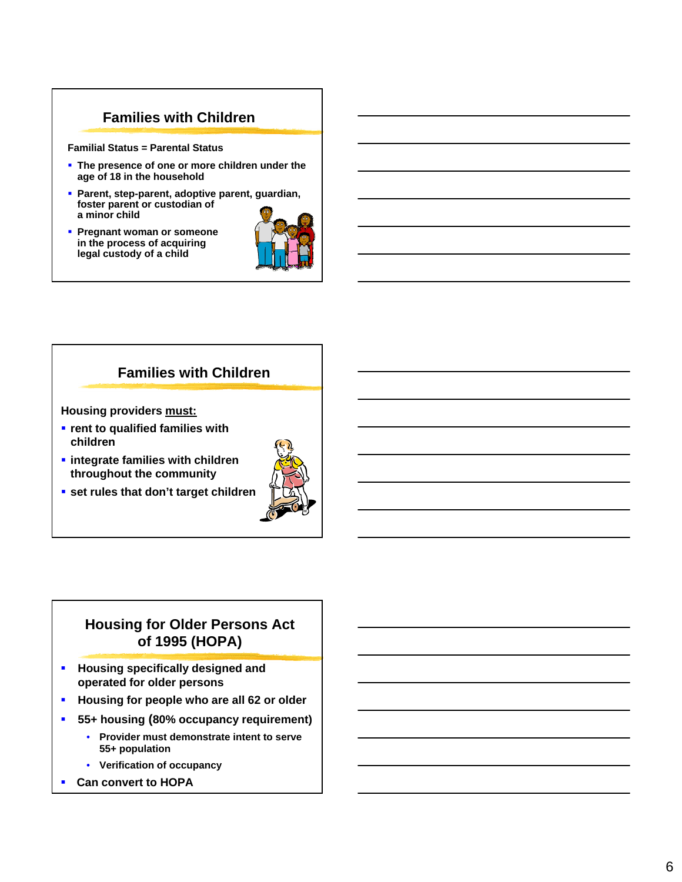#### **Families with Children**

**Familial Status = Parental Status**

- **The presence of one or more children under the age of 18 in the household**
- **Parent, step-parent, adoptive parent, guardian, foster parent or custodian of a minor child**
- **Pregnant woman or someone in the process of acquiring legal custody of a child**



#### **Families with Children**

**Housing providers must:**

- *r* rent to qualified families with **children**
- **integrate families with children throughout the community**
- **set rules that don't target children**



#### **Housing for Older Persons Act of 1995 (HOPA)**

- **Housing specifically designed and operated for older persons**
- **Housing for people who are all 62 or older**
- **55+ housing (80% occupancy requirement)**
	- **Provider must demonstrate intent to serve 55+ population**
	- **Verification of occupancy**
- **Can convert to HOPA**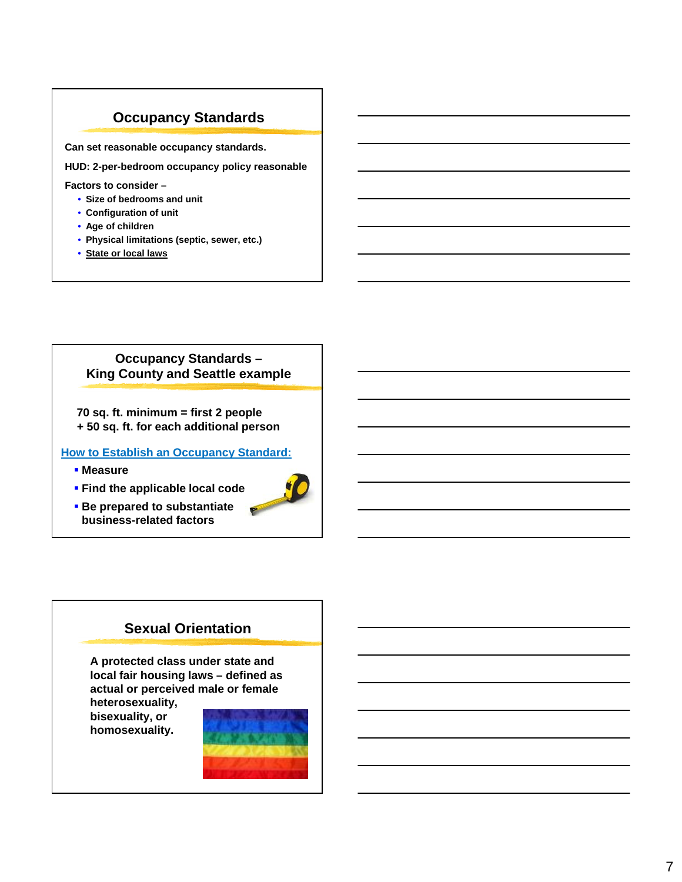#### **Occupancy Standards**

**Can set reasonable occupancy standards.**

**HUD: 2-per-bedroom occupancy policy reasonable**

#### **Factors to consider –**

- **Size of bedrooms and unit**
- **Configuration of unit**
- **Age of children**
- **Physical limitations (septic, sewer, etc.)**
- **State or local laws**

#### **Occupancy Standards – King County and Seattle example**

**70 sq. ft. minimum = first 2 people + 50 sq. ft. for each additional person**

**How to Establish an Occupancy Standard:**

**Measure**

**Find the applicable local code** 



 **Be prepared to substantiate business-related factors**

#### **Sexual Orientation**

**A protected class under state and local fair housing laws – defined as actual or perceived male or female** 

**heterosexuality, bisexuality, or homosexuality.**

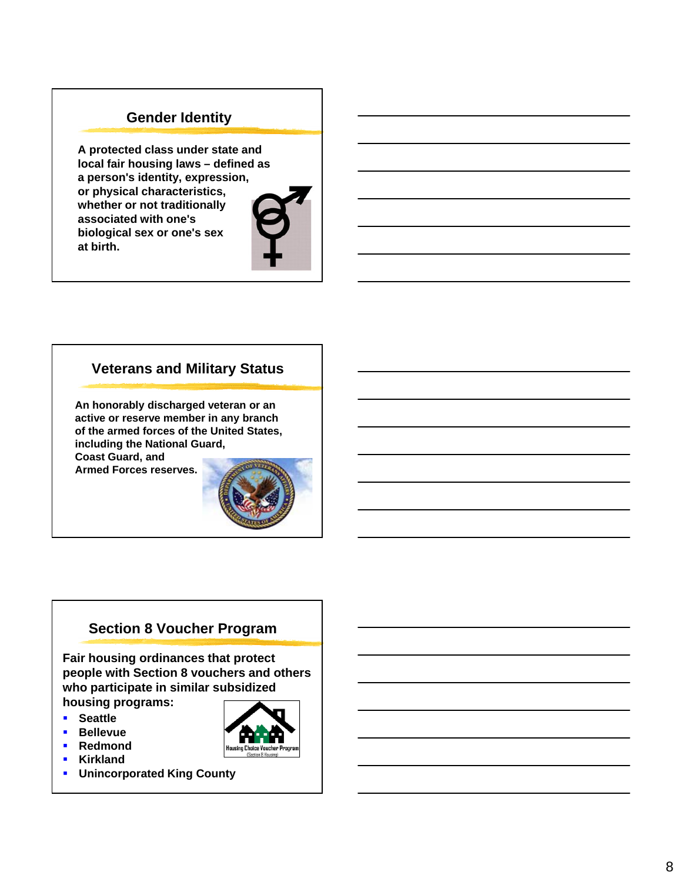#### **Gender Identity**

**A protected class under state and local fair housing laws – defined as a person's identity, expression, or physical characteristics, whether or not traditionally associated with one's biological sex or one's sex at birth.**



#### **Veterans and Military Status**

**An honorably discharged veteran or an active or reserve member in any branch of the armed forces of the United States, including the National Guard, Coast Guard, and Armed Forces reserves.**



#### **Section 8 Voucher Program**

**Fair housing ordinances that protect people with Section 8 vouchers and others who participate in similar subsidized housing programs:**

- **E** Seattle
- **Bellevue**
- **Redmond**
- **Kirkland**
- **Unincorporated King County**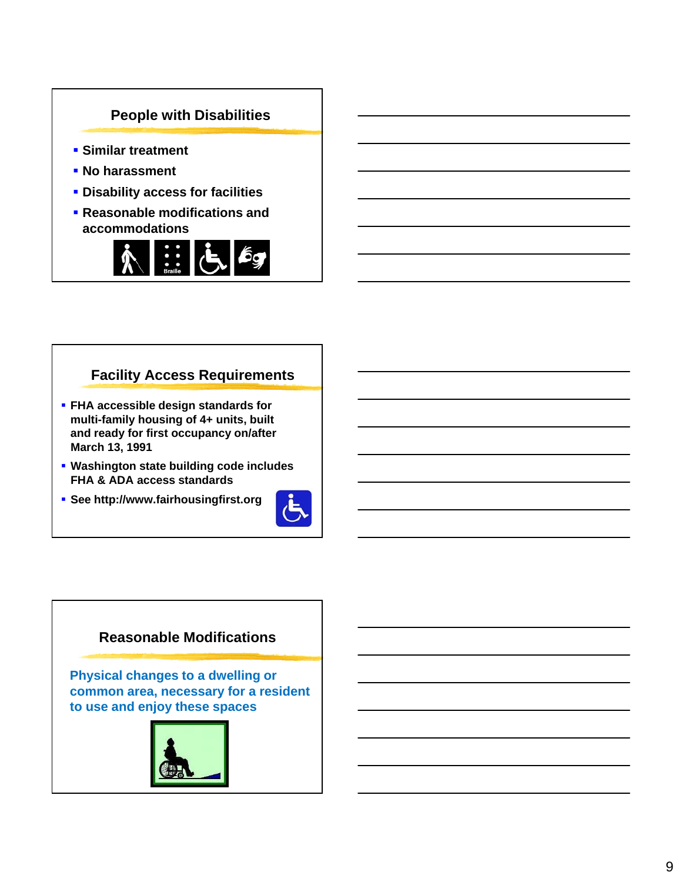

#### **Facility Access Requirements**

- **FHA accessible design standards for multi-family housing of 4+ units, built and ready for first occupancy on/after March 13, 1991**
- **Washington state building code includes FHA & ADA access standards**
- **See http://www.fairhousingfirst.org**



#### **Reasonable Modifications**

**Physical changes to a dwelling or**  common area, necessary for a resident **to use and enjoy these spaces**